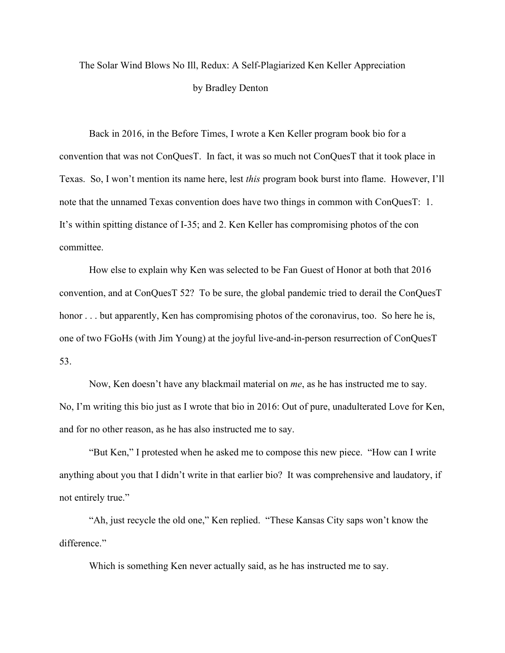## The Solar Wind Blows No Ill, Redux: A Self-Plagiarized Ken Keller Appreciation by Bradley Denton

Back in 2016, in the Before Times, I wrote a Ken Keller program book bio for a convention that was not ConQuesT. In fact, it was so much not ConQuesT that it took place in Texas. So, I won't mention its name here, lest *this* program book burst into flame. However, I'll note that the unnamed Texas convention does have two things in common with ConQuesT: 1. It's within spitting distance of I-35; and 2. Ken Keller has compromising photos of the con committee.

How else to explain why Ken was selected to be Fan Guest of Honor at both that 2016 convention, and at ConQuesT 52? To be sure, the global pandemic tried to derail the ConQuesT honor . . . but apparently, Ken has compromising photos of the coronavirus, too. So here he is, one of two FGoHs (with Jim Young) at the joyful live-and-in-person resurrection of ConQuesT 53.

Now, Ken doesn't have any blackmail material on *me*, as he has instructed me to say. No, I'm writing this bio just as I wrote that bio in 2016: Out of pure, unadulterated Love for Ken, and for no other reason, as he has also instructed me to say.

"But Ken," I protested when he asked me to compose this new piece. "How can I write anything about you that I didn't write in that earlier bio? It was comprehensive and laudatory, if not entirely true."

"Ah, just recycle the old one," Ken replied. "These Kansas City saps won't know the difference."

Which is something Ken never actually said, as he has instructed me to say.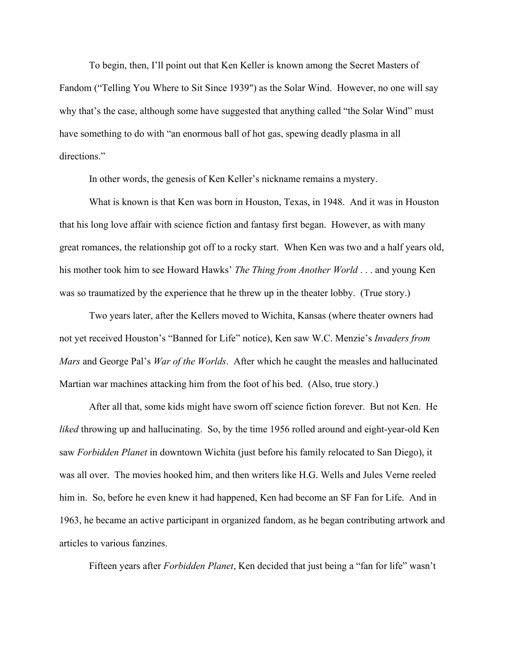To begin, then, I'll point out that Ken Keller is known among the Secret Masters of Fandom ("Telling You Where to Sit Since 1939") as the Solar Wind. However, no one will say why that's the case, although some have suggested that anything called "the Solar Wind" must have something to do with "an enormous ball of hot gas, spewing deadly plasma in all directions."

In other words, the genesis of Ken Keller's nickname remains a mystery.

What is known is that Ken was born in Houston, Texas, in 1948. And it was in Houston that his long love affair with science fiction and fantasy first began. However, as with many great romances, the relationship got off to a rocky start. When Ken was two and a half years old, his mother took him to see Howard Hawks' *The Thing from Another World* . . . and young Ken was so traumatized by the experience that he threw up in the theater lobby. (True story.)

Two years later, after the Kellers moved to Wichita, Kansas (where theater owners had not yet received Houston's "Banned for Life" notice), Ken saw W.C. Menzie's *Invaders from Mars* and George Pal's *War of the Worlds*. After which he caught the measles and hallucinated Martian war machines attacking him from the foot of his bed. (Also, true story.)

After all that, some kids might have sworn off science fiction forever. But not Ken. He *liked* throwing up and hallucinating. So, by the time 1956 rolled around and eight-year-old Ken saw *Forbidden Planet* in downtown Wichita (just before his family relocated to San Diego), it was all over. The movies hooked him, and then writers like H.G. Wells and Jules Verne reeled him in. So, before he even knew it had happened, Ken had become an SF Fan for Life. And in 1963, he became an active participant in organized fandom, as he began contributing artwork and articles to various fanzines.

Fifteen years after *Forbidden Planet*, Ken decided that just being a "fan for life" wasn't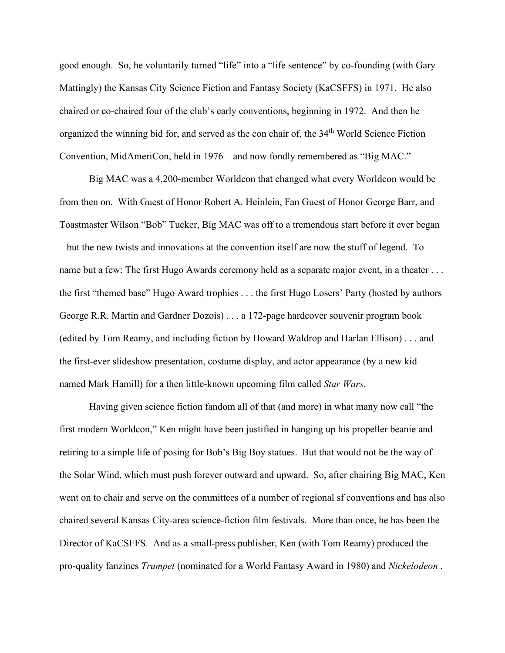good enough. So, he voluntarily turned "life" into a "life sentence" by co-founding (with Gary Mattingly) the Kansas City Science Fiction and Fantasy Society (KaCSFFS) in 1971. He also chaired or co-chaired four of the club's early conventions, beginning in 1972. And then he organized the winning bid for, and served as the con chair of, the 34<sup>th</sup> World Science Fiction Convention, MidAmeriCon, held in 1976 – and now fondly remembered as "Big MAC."

Big MAC was a 4,200-member Worldcon that changed what every Worldcon would be from then on. With Guest of Honor Robert A. Heinlein, Fan Guest of Honor George Barr, and Toastmaster Wilson "Bob" Tucker, Big MAC was off to a tremendous start before it ever began – but the new twists and innovations at the convention itself are now the stuff of legend. To name but a few: The first Hugo Awards ceremony held as a separate major event, in a theater ... the first "themed base" Hugo Award trophies . . . the first Hugo Losers' Party (hosted by authors George R.R. Martin and Gardner Dozois) . . . a 172-page hardcover souvenir program book (edited by Tom Reamy, and including fiction by Howard Waldrop and Harlan Ellison) . . . and the first-ever slideshow presentation, costume display, and actor appearance (by a new kid named Mark Hamill) for a then little-known upcoming film called *Star Wars*.

Having given science fiction fandom all of that (and more) in what many now call "the first modern Worldcon," Ken might have been justified in hanging up his propeller beanie and retiring to a simple life of posing for Bob's Big Boy statues. But that would not be the way of the Solar Wind, which must push forever outward and upward. So, after chairing Big MAC, Ken went on to chair and serve on the committees of a number of regional sf conventions and has also chaired several Kansas City-area science-fiction film festivals. More than once, he has been the Director of KaCSFFS. And as a small-press publisher, Ken (with Tom Reamy) produced the pro-quality fanzines *Trumpet* (nominated for a World Fantasy Award in 1980) and *Nickelodeon* .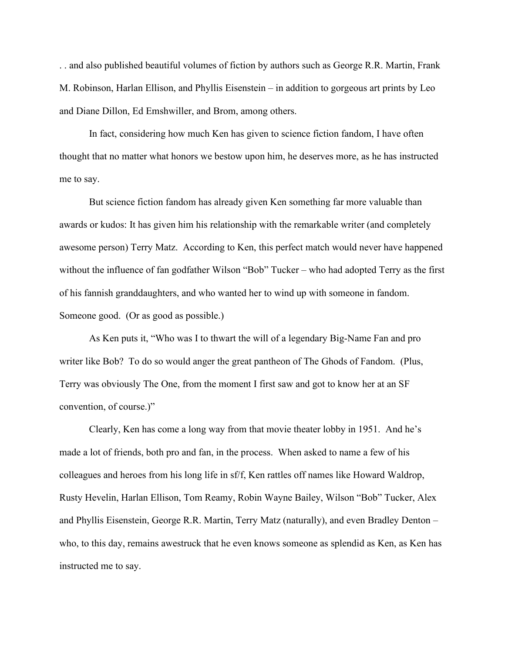. . and also published beautiful volumes of fiction by authors such as George R.R. Martin, Frank M. Robinson, Harlan Ellison, and Phyllis Eisenstein – in addition to gorgeous art prints by Leo and Diane Dillon, Ed Emshwiller, and Brom, among others.

In fact, considering how much Ken has given to science fiction fandom, I have often thought that no matter what honors we bestow upon him, he deserves more, as he has instructed me to say.

But science fiction fandom has already given Ken something far more valuable than awards or kudos: It has given him his relationship with the remarkable writer (and completely awesome person) Terry Matz. According to Ken, this perfect match would never have happened without the influence of fan godfather Wilson "Bob" Tucker – who had adopted Terry as the first of his fannish granddaughters, and who wanted her to wind up with someone in fandom. Someone good. (Or as good as possible.)

As Ken puts it, "Who was I to thwart the will of a legendary Big-Name Fan and pro writer like Bob? To do so would anger the great pantheon of The Ghods of Fandom. (Plus, Terry was obviously The One, from the moment I first saw and got to know her at an SF convention, of course.)"

Clearly, Ken has come a long way from that movie theater lobby in 1951. And he's made a lot of friends, both pro and fan, in the process. When asked to name a few of his colleagues and heroes from his long life in sf/f, Ken rattles off names like Howard Waldrop, Rusty Hevelin, Harlan Ellison, Tom Reamy, Robin Wayne Bailey, Wilson "Bob" Tucker, Alex and Phyllis Eisenstein, George R.R. Martin, Terry Matz (naturally), and even Bradley Denton – who, to this day, remains awestruck that he even knows someone as splendid as Ken, as Ken has instructed me to say.